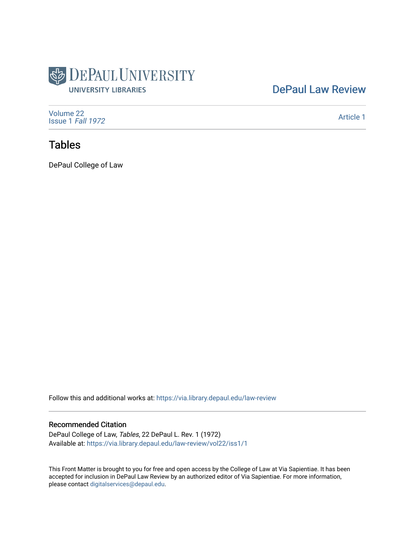

# [DePaul Law Review](https://via.library.depaul.edu/law-review)

[Volume 22](https://via.library.depaul.edu/law-review/vol22) [Issue 1](https://via.library.depaul.edu/law-review/vol22/iss1) Fall 1972

[Article 1](https://via.library.depaul.edu/law-review/vol22/iss1/1) 

# Tables

DePaul College of Law

Follow this and additional works at: [https://via.library.depaul.edu/law-review](https://via.library.depaul.edu/law-review?utm_source=via.library.depaul.edu%2Flaw-review%2Fvol22%2Fiss1%2F1&utm_medium=PDF&utm_campaign=PDFCoverPages) 

#### Recommended Citation

DePaul College of Law, Tables, 22 DePaul L. Rev. 1 (1972) Available at: [https://via.library.depaul.edu/law-review/vol22/iss1/1](https://via.library.depaul.edu/law-review/vol22/iss1/1?utm_source=via.library.depaul.edu%2Flaw-review%2Fvol22%2Fiss1%2F1&utm_medium=PDF&utm_campaign=PDFCoverPages) 

This Front Matter is brought to you for free and open access by the College of Law at Via Sapientiae. It has been accepted for inclusion in DePaul Law Review by an authorized editor of Via Sapientiae. For more information, please contact [digitalservices@depaul.edu.](mailto:digitalservices@depaul.edu)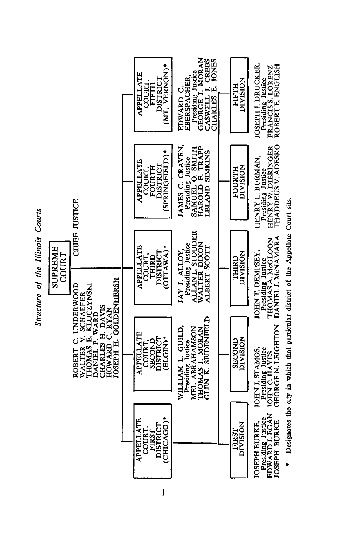

 $\mathbf{1}$ 

Designates the city in which that particular district of the Appellate Court sits.  $\ddot{\phantom{1}}$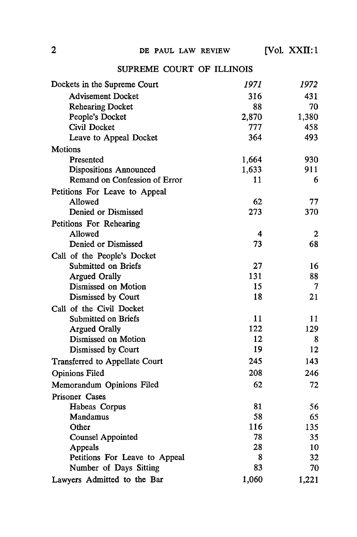## **SUPREME** COURT OF ILLINOIS

| <b>Advisement Docket</b><br>431<br>316<br><b>Rehearing Docket</b><br>88<br>70<br>People's Docket<br>1,380<br>2,870<br>Civil Docket<br>777<br>458<br>493<br>364<br>Leave to Appeal Docket<br><b>Motions</b><br>1,664<br>930<br>Presented<br>911<br>1,633<br><b>Dispositions Announced</b><br>Remand on Confession of Error<br>11<br>6<br>Petitions For Leave to Appeal<br>62<br>Allowed<br>77<br>Denied or Dismissed<br>273<br>370<br>Petitions For Rehearing<br>Allowed<br>4<br>$\mathbf{2}$<br>Denied or Dismissed<br>73<br>68<br>Call of the People's Docket<br>Submitted on Briefs<br>27<br>16<br>131<br><b>Argued Orally</b><br>88<br>15<br>Dismissed on Motion<br>$\overline{\mathcal{L}}$<br>18<br>21<br>Dismissed by Court<br>Call of the Civil Docket<br>Submitted on Briefs<br>11<br>11<br>122<br><b>Argued Orally</b><br>129<br>Dismissed on Motion<br>12<br>8<br>19<br>Dismissed by Court<br>12<br>245<br>143<br><b>Transferred to Appellate Court</b><br>208<br>246<br><b>Opinions Filed</b><br>62<br>72<br>Memorandum Opinions Filed<br>Prisoner Cases<br>81<br>Habeas Corpus<br>56<br>Mandamus<br>58<br>65<br>116<br>Other<br>135<br>78<br><b>Counsel Appointed</b><br>35<br>28<br>Appeals<br>10<br>Petitions For Leave to Appeal<br>8<br>32 | Dockets in the Supreme Court | 1971 | 1972 |
|------------------------------------------------------------------------------------------------------------------------------------------------------------------------------------------------------------------------------------------------------------------------------------------------------------------------------------------------------------------------------------------------------------------------------------------------------------------------------------------------------------------------------------------------------------------------------------------------------------------------------------------------------------------------------------------------------------------------------------------------------------------------------------------------------------------------------------------------------------------------------------------------------------------------------------------------------------------------------------------------------------------------------------------------------------------------------------------------------------------------------------------------------------------------------------------------------------------------------------------------------------|------------------------------|------|------|
|                                                                                                                                                                                                                                                                                                                                                                                                                                                                                                                                                                                                                                                                                                                                                                                                                                                                                                                                                                                                                                                                                                                                                                                                                                                            |                              |      |      |
|                                                                                                                                                                                                                                                                                                                                                                                                                                                                                                                                                                                                                                                                                                                                                                                                                                                                                                                                                                                                                                                                                                                                                                                                                                                            |                              |      |      |
|                                                                                                                                                                                                                                                                                                                                                                                                                                                                                                                                                                                                                                                                                                                                                                                                                                                                                                                                                                                                                                                                                                                                                                                                                                                            |                              |      |      |
|                                                                                                                                                                                                                                                                                                                                                                                                                                                                                                                                                                                                                                                                                                                                                                                                                                                                                                                                                                                                                                                                                                                                                                                                                                                            |                              |      |      |
|                                                                                                                                                                                                                                                                                                                                                                                                                                                                                                                                                                                                                                                                                                                                                                                                                                                                                                                                                                                                                                                                                                                                                                                                                                                            |                              |      |      |
|                                                                                                                                                                                                                                                                                                                                                                                                                                                                                                                                                                                                                                                                                                                                                                                                                                                                                                                                                                                                                                                                                                                                                                                                                                                            |                              |      |      |
|                                                                                                                                                                                                                                                                                                                                                                                                                                                                                                                                                                                                                                                                                                                                                                                                                                                                                                                                                                                                                                                                                                                                                                                                                                                            |                              |      |      |
|                                                                                                                                                                                                                                                                                                                                                                                                                                                                                                                                                                                                                                                                                                                                                                                                                                                                                                                                                                                                                                                                                                                                                                                                                                                            |                              |      |      |
|                                                                                                                                                                                                                                                                                                                                                                                                                                                                                                                                                                                                                                                                                                                                                                                                                                                                                                                                                                                                                                                                                                                                                                                                                                                            |                              |      |      |
|                                                                                                                                                                                                                                                                                                                                                                                                                                                                                                                                                                                                                                                                                                                                                                                                                                                                                                                                                                                                                                                                                                                                                                                                                                                            |                              |      |      |
|                                                                                                                                                                                                                                                                                                                                                                                                                                                                                                                                                                                                                                                                                                                                                                                                                                                                                                                                                                                                                                                                                                                                                                                                                                                            |                              |      |      |
|                                                                                                                                                                                                                                                                                                                                                                                                                                                                                                                                                                                                                                                                                                                                                                                                                                                                                                                                                                                                                                                                                                                                                                                                                                                            |                              |      |      |
|                                                                                                                                                                                                                                                                                                                                                                                                                                                                                                                                                                                                                                                                                                                                                                                                                                                                                                                                                                                                                                                                                                                                                                                                                                                            |                              |      |      |
|                                                                                                                                                                                                                                                                                                                                                                                                                                                                                                                                                                                                                                                                                                                                                                                                                                                                                                                                                                                                                                                                                                                                                                                                                                                            |                              |      |      |
|                                                                                                                                                                                                                                                                                                                                                                                                                                                                                                                                                                                                                                                                                                                                                                                                                                                                                                                                                                                                                                                                                                                                                                                                                                                            |                              |      |      |
|                                                                                                                                                                                                                                                                                                                                                                                                                                                                                                                                                                                                                                                                                                                                                                                                                                                                                                                                                                                                                                                                                                                                                                                                                                                            |                              |      |      |
|                                                                                                                                                                                                                                                                                                                                                                                                                                                                                                                                                                                                                                                                                                                                                                                                                                                                                                                                                                                                                                                                                                                                                                                                                                                            |                              |      |      |
|                                                                                                                                                                                                                                                                                                                                                                                                                                                                                                                                                                                                                                                                                                                                                                                                                                                                                                                                                                                                                                                                                                                                                                                                                                                            |                              |      |      |
|                                                                                                                                                                                                                                                                                                                                                                                                                                                                                                                                                                                                                                                                                                                                                                                                                                                                                                                                                                                                                                                                                                                                                                                                                                                            |                              |      |      |
|                                                                                                                                                                                                                                                                                                                                                                                                                                                                                                                                                                                                                                                                                                                                                                                                                                                                                                                                                                                                                                                                                                                                                                                                                                                            |                              |      |      |
|                                                                                                                                                                                                                                                                                                                                                                                                                                                                                                                                                                                                                                                                                                                                                                                                                                                                                                                                                                                                                                                                                                                                                                                                                                                            |                              |      |      |
|                                                                                                                                                                                                                                                                                                                                                                                                                                                                                                                                                                                                                                                                                                                                                                                                                                                                                                                                                                                                                                                                                                                                                                                                                                                            |                              |      |      |
|                                                                                                                                                                                                                                                                                                                                                                                                                                                                                                                                                                                                                                                                                                                                                                                                                                                                                                                                                                                                                                                                                                                                                                                                                                                            |                              |      |      |
|                                                                                                                                                                                                                                                                                                                                                                                                                                                                                                                                                                                                                                                                                                                                                                                                                                                                                                                                                                                                                                                                                                                                                                                                                                                            |                              |      |      |
|                                                                                                                                                                                                                                                                                                                                                                                                                                                                                                                                                                                                                                                                                                                                                                                                                                                                                                                                                                                                                                                                                                                                                                                                                                                            |                              |      |      |
|                                                                                                                                                                                                                                                                                                                                                                                                                                                                                                                                                                                                                                                                                                                                                                                                                                                                                                                                                                                                                                                                                                                                                                                                                                                            |                              |      |      |
|                                                                                                                                                                                                                                                                                                                                                                                                                                                                                                                                                                                                                                                                                                                                                                                                                                                                                                                                                                                                                                                                                                                                                                                                                                                            |                              |      |      |
|                                                                                                                                                                                                                                                                                                                                                                                                                                                                                                                                                                                                                                                                                                                                                                                                                                                                                                                                                                                                                                                                                                                                                                                                                                                            |                              |      |      |
|                                                                                                                                                                                                                                                                                                                                                                                                                                                                                                                                                                                                                                                                                                                                                                                                                                                                                                                                                                                                                                                                                                                                                                                                                                                            |                              |      |      |
|                                                                                                                                                                                                                                                                                                                                                                                                                                                                                                                                                                                                                                                                                                                                                                                                                                                                                                                                                                                                                                                                                                                                                                                                                                                            |                              |      |      |
|                                                                                                                                                                                                                                                                                                                                                                                                                                                                                                                                                                                                                                                                                                                                                                                                                                                                                                                                                                                                                                                                                                                                                                                                                                                            |                              |      |      |
|                                                                                                                                                                                                                                                                                                                                                                                                                                                                                                                                                                                                                                                                                                                                                                                                                                                                                                                                                                                                                                                                                                                                                                                                                                                            |                              |      |      |
|                                                                                                                                                                                                                                                                                                                                                                                                                                                                                                                                                                                                                                                                                                                                                                                                                                                                                                                                                                                                                                                                                                                                                                                                                                                            |                              |      |      |
|                                                                                                                                                                                                                                                                                                                                                                                                                                                                                                                                                                                                                                                                                                                                                                                                                                                                                                                                                                                                                                                                                                                                                                                                                                                            |                              |      |      |
|                                                                                                                                                                                                                                                                                                                                                                                                                                                                                                                                                                                                                                                                                                                                                                                                                                                                                                                                                                                                                                                                                                                                                                                                                                                            |                              |      |      |
| 83<br>Number of Days Sitting<br>70                                                                                                                                                                                                                                                                                                                                                                                                                                                                                                                                                                                                                                                                                                                                                                                                                                                                                                                                                                                                                                                                                                                                                                                                                         |                              |      |      |
| Lawyers Admitted to the Bar<br>1,060<br>1,221                                                                                                                                                                                                                                                                                                                                                                                                                                                                                                                                                                                                                                                                                                                                                                                                                                                                                                                                                                                                                                                                                                                                                                                                              |                              |      |      |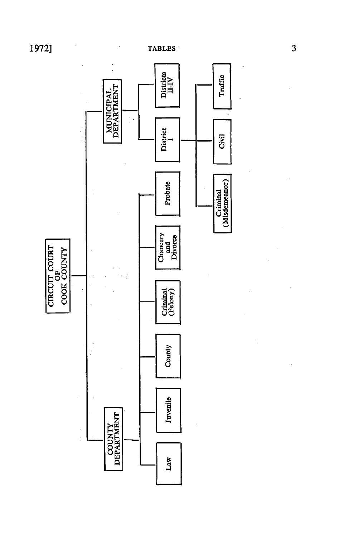

 $\overline{\mathbf{3}}$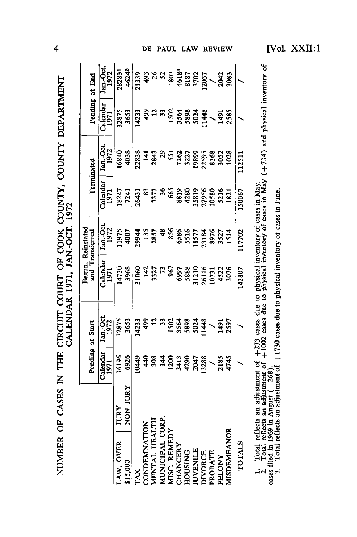| NUMBER OF CASES IN THE CIRCUIT COURT OF COOK COUNTY, COUNTY DEPARTMENT |
|------------------------------------------------------------------------|
|                                                                        |
| $\frac{1}{2}$                                                          |
| ֖֧ׅ֧ׅ֧ׅ֧ׅ֧ׅ֧ׅ֧ׅ֧ׅ֧ׅ֧ׅ֧֚֚֚֚֚֚֚֚֚֚֚֚֚֚֚֚֚֚֚֚֚֚֚֚֚֚֚֚֚֚֬֜֜֜֜֜֜֜֜֜         |
|                                                                        |
|                                                                        |
|                                                                        |
|                                                                        |
|                                                                        |
|                                                                        |

|                 |          | Pending at Start     |                   |                                                                   | Begun, Reinstated<br>and Transferred    |                            | Terminated                             |                               | Pending at End                                              |
|-----------------|----------|----------------------|-------------------|-------------------------------------------------------------------|-----------------------------------------|----------------------------|----------------------------------------|-------------------------------|-------------------------------------------------------------|
|                 |          | Calendar<br>1971     | Jan.-Oct.<br>1972 | Calendar<br>1971                                                  | Jan.-Oct.<br>1972                       | Calendar<br>1971           | Jan.-Oct.<br>1972                      | Calendar<br>1971              | Jan.-Oct<br>1972                                            |
| LAW, OVER       | JURY     | 36196                | 32875             | 1730                                                              | 11975                                   | 18247                      | 16840                                  | 32875                         | 282831                                                      |
| \$15,000        | NON JURY | 6926                 | 3653              | 3968                                                              | 4007                                    | 7241                       | 4038                                   | 3653                          | 46242                                                       |
| TAX             |          | 10449                | 4233              | 11060                                                             |                                         | 26431                      |                                        | 14233                         | 21339                                                       |
| CONDEMNATION    |          |                      | $\frac{6}{4}$     |                                                                   |                                         |                            |                                        |                               |                                                             |
| MENTAL HEALTH   |          | 440                  | $\overline{5}$    | $\frac{47}{327}$ $\frac{26}{35}$ $\frac{69}{38}$ $\frac{88}{388}$ | 29944<br>135<br>2857                    | <b>3373</b><br>3373<br>665 | 2833<br>143<br>2843<br>29<br>551       | $rac{36}{12}$                 | 493<br>2813<br>1807<br>1803<br>1803<br>1903<br>1903<br>1903 |
| MUNICIPAL CORP. |          | $\frac{14}{1}$       | 33                |                                                                   | 48                                      |                            |                                        | $\ddot{3}$                    |                                                             |
| MISC. REMEDY    |          | 1200                 | 1502              |                                                                   | 856                                     |                            |                                        |                               |                                                             |
| CHANCERY        |          |                      | 3564              |                                                                   |                                         | 8819<br>4280               |                                        |                               |                                                             |
| <b>HOUSING</b>  |          | 3413<br>4290<br>2047 | 5898              |                                                                   | 6586<br>5516<br>18577<br>187184<br>8976 |                            | 7262<br>3227                           | 1502<br>3568<br>5893<br>50248 |                                                             |
| <b>IUVENILE</b> |          |                      | 5024              | 31210                                                             |                                         |                            |                                        |                               |                                                             |
| <b>DIVORCE</b>  |          | 13288                | 1448              | 26116                                                             |                                         | 35819<br>27956<br>10580    | 19899<br>22595<br>8168<br>9052<br>1028 |                               |                                                             |
| PROBATE         |          |                      |                   | 10731                                                             |                                         |                            |                                        | $\overline{\phantom{0}}$      |                                                             |
| FELONY          |          | 2185                 | 1491              | 4522                                                              | 3527<br>1514                            | 5216                       |                                        | 1491                          | 2042                                                        |
| MISDEMEANOR     |          | 4745                 | 2597              | 3076                                                              |                                         | 1821                       |                                        | 2585                          | 3083                                                        |
| <b>TOTALS</b>   |          |                      |                   | 142807                                                            | 17702                                   | 50067                      | 112511                                 |                               |                                                             |
|                 |          |                      |                   |                                                                   |                                         |                            |                                        |                               |                                                             |

1. Total reflects an adjustment of  $+273$  cases due to physical inventory of cases in May.<br>2. Total reflects an adjustment of  $+1002$  cases due to physical inventory of cases in May  $(+734)$  and physical inventory of<br>cases

 $\overline{\mathbf{4}}$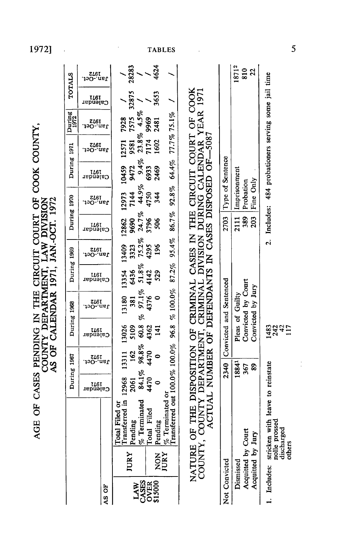| AGE OF CASES PENDING IN THE CIRCUIT COURT OF COOK COUNTY, | AS OF CALENDAR 1971, JAN-OCT. 1972<br>COUNTY DEPARTMENT, LAW DIVISION |
|-----------------------------------------------------------|-----------------------------------------------------------------------|

|                                               |                                                                                                                                                                        | During 1967                      |                          | During 1968               |                                         | During 1969             |                       | During 1970          |                               | During 1971                             |                       | During<br>1972                     |                      | <b>TOTALS</b>          |
|-----------------------------------------------|------------------------------------------------------------------------------------------------------------------------------------------------------------------------|----------------------------------|--------------------------|---------------------------|-----------------------------------------|-------------------------|-----------------------|----------------------|-------------------------------|-----------------------------------------|-----------------------|------------------------------------|----------------------|------------------------|
|                                               |                                                                                                                                                                        | 1261<br>Calendar                 | .toO-.naU<br>do-.naU     | I&I<br>Cajendar           | 1972-1972<br>- 1200-001                 | I&I<br>Cajendar         | 1972-0et.<br>120-.ast | Calendar<br>Calendar | 190-.ns <b>t</b><br>Jan.-Oct. | r<br>Lag<br>Calendar                    | 1972-Ct.<br>Jan.-Oct. | 1972<br>Jan.-Oct.                  | Calendar<br>Calendar | 1972-0et.<br>1971-Oct. |
| AS OF                                         |                                                                                                                                                                        |                                  |                          |                           |                                         |                         |                       |                      |                               |                                         |                       |                                    |                      |                        |
| JURY                                          | Transferred in<br>Pending<br>$%$ Terminated<br>Filed or<br>Total                                                                                                       | $2061$<br>84.1%<br>4470<br>12968 | 162<br>13311             | 13026<br>5109             | 13180<br>381<br>æ                       | 13354 13409<br>6436     | 3323                  | 12862<br>9690        | 12973<br>7144                 | 10459<br>9472                           | 9581<br>12571         | 7575<br>7928                       | 32875                | 28283                  |
| NON<br>JURY<br>LAW<br>CASES<br>OVER<br>S15000 | Filed<br>Total Fi<br>Pending                                                                                                                                           | $\circ$                          | $98.8\%$<br>4470<br>4470 | $60.8$<br>$4362$<br>$141$ | $97.1\%$<br>4376<br>0                   | $51.8\%$<br>4142<br>529 | 75.2%<br>4295<br>196  | 24.7%<br>3796<br>506 | 44.9%<br>4750<br>344          | 6933<br>2469                            | 1602                  | $23.8\%$ 4.5%<br>7174 9969<br>2481 | 3653                 | 4624                   |
|                                               | $\frac{\%}{\%}$ Terminated or<br>Transferred out 100.0% 100.0%                                                                                                         |                                  |                          |                           | 96.8 % 100.0%                           | $87.2\%$                | $95.4\%$              | 86.7%                | 92.8%                         |                                         | 64.4% 77.7% 75.1%     |                                    |                      |                        |
|                                               | NATURE OF THE DISPOSITION OF CRIMINAL CASES IN THE CIRCUIT COURT OF COOK<br>COUNTY, COUNTY DEPARTMENT, CRIMINAL DIVISION DURING CALENDAR YEAR 1971<br>ACTUAL NUMBER OF |                                  |                          |                           | DEFENDANTS IN CASES DISPOSED OF-5087    |                         |                       |                      |                               | THE CIRCUIT COURT OF COOK               |                       |                                    |                      |                        |
| Not Convicted                                 |                                                                                                                                                                        |                                  |                          |                           | 2340 Convicted and Sentenced            |                         |                       | 2703                 |                               | Type of Sentence                        |                       |                                    |                      |                        |
| Dismissed                                     |                                                                                                                                                                        |                                  | 18841                    |                           | Pleas of Guilty                         |                         |                       | 2111                 | Imprisonment                  |                                         |                       |                                    |                      | 18712                  |
| Acquitted by Court<br>Acquitted by Jury       |                                                                                                                                                                        |                                  | 89<br>367                |                           | Convicted by Court<br>Convicted by Jury |                         |                       | 389<br>203           | Fine Only<br>Probation        |                                         |                       |                                    |                      | $\frac{20}{22}$        |
| 1. Includes: stricken wi                      | ith leave to reinstate<br>nolle prossed<br>discharged<br>others                                                                                                        |                                  |                          | 1424<br>1425<br>17        |                                         |                         | .<br>م:               | Includes:            |                               | 484 probationers serving some jail time |                       |                                    |                      |                        |

1972]

 $\sim$   $\sim$ 

**TABLES** 

 $\sim 10^{-11}$ 

 $\mathcal{L}_{\text{max}}$  ,  $\mathcal{L}_{\text{max}}$ 

5

 $\frac{1}{2}$